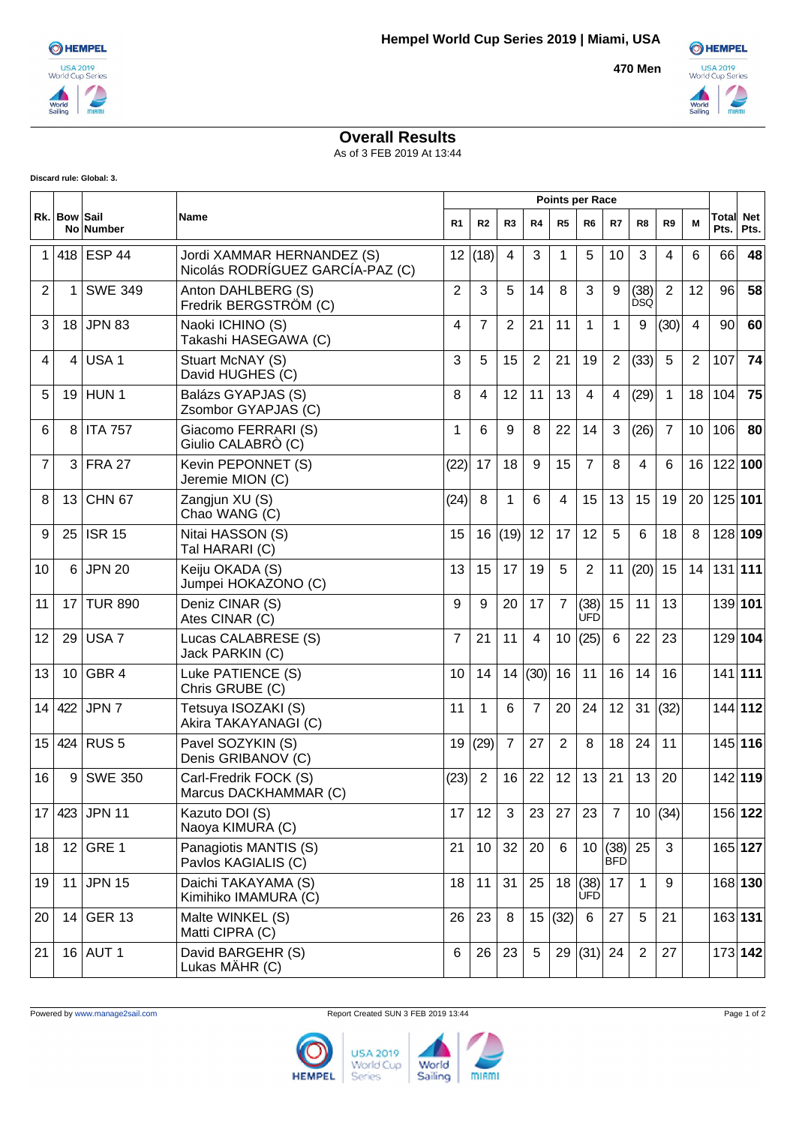**470 Men**



## **Overall Results**

As of 3 FEB 2019 At 13:44

**Discard rule: Global: 3.**

|                | Rk. Bow Sail | No Number        | <b>Name</b>                                                    | <b>Points per Race</b> |                |                |                 |                |                    |                    |                    |                |    |               |                    |
|----------------|--------------|------------------|----------------------------------------------------------------|------------------------|----------------|----------------|-----------------|----------------|--------------------|--------------------|--------------------|----------------|----|---------------|--------------------|
|                |              |                  |                                                                | R <sub>1</sub>         | R <sub>2</sub> | R <sub>3</sub> | R <sub>4</sub>  | R <sub>5</sub> | R <sub>6</sub>     | R7                 | R8                 | R9             | M  | Total<br>Pts. | <b>Net</b><br>Pts. |
| 1              |              | 418 ESP 44       | Jordi XAMMAR HERNANDEZ (S)<br>Nicolás RODRÍGUEZ GARCÍA-PAZ (C) | 12 <sup>2</sup>        | (18)           | 4              | 3               | 1              | 5                  | 10                 | 3                  | 4              | 6  | 66            | 48                 |
| 2              | 1            | <b>SWE 349</b>   | Anton DAHLBERG (S)<br>Fredrik BERGSTRÖM (C)                    | 2                      | 3              | 5              | 14              | 8              | 3                  | 9                  | (38)<br><b>DSQ</b> | $\overline{2}$ | 12 | 96            | 58                 |
| 3              |              | 18 JPN 83        | Naoki ICHINO (S)<br>Takashi HASEGAWA (C)                       | 4                      | $\overline{7}$ | 2              | 21              | 11             | $\mathbf 1$        | 1                  | 9                  | (30)           | 4  | 90            | 60                 |
| 4              | 4            | USA <sub>1</sub> | Stuart McNAY (S)<br>David HUGHES (C)                           | 3                      | 5              | 15             | 2               | 21             | 19                 | $\overline{2}$     | (33)               | 5              | 2  | 107           | 74                 |
| 5              |              | 19 HUN 1         | Balázs GYAPJAS (S)<br>Zsombor GYAPJAS (C)                      | 8                      | 4              | 12             | 11              | 13             | $\overline{4}$     | 4                  | (29)               | $\mathbf{1}$   | 18 | 104           | 75                 |
| 6              | 8            | <b>ITA 757</b>   | Giacomo FERRARI (S)<br>Giulio CALABRÒ (C)                      | 1                      | 6              | 9              | 8               | 22             | 14                 | 3                  | (26)               | $\overline{7}$ | 10 | 106           | 80                 |
| $\overline{7}$ | 3            | FRA 27           | Kevin PEPONNET (S)<br>Jeremie MION (C)                         | (22)                   | 17             | 18             | 9               | 15             | $\overline{7}$     | 8                  | $\overline{4}$     | 6              | 16 | 122 100       |                    |
| 8              | 13           | <b>CHN 67</b>    | Zangjun XU (S)<br>Chao WANG (C)                                | (24)                   | 8              | $\mathbf 1$    | 6               | $\overline{4}$ | 15                 | 13                 | 15                 | 19             | 20 | 125 101       |                    |
| 9              | 25           | <b>ISR 15</b>    | Nitai HASSON (S)<br>Tal HARARI (C)                             | 15                     | 16             | (19)           | 12              | 17             | 12                 | 5                  | 6                  | 18             | 8  | 128 109       |                    |
| 10             | 6            | <b>JPN 20</b>    | Keiju OKADA (S)<br>Jumpei HOKAZONO (C)                         | 13                     | 15             | 17             | 19              | 5              | 2                  | 11                 | (20)               | 15             | 14 | 131 111       |                    |
| 11             | 17           | <b>TUR 890</b>   | Deniz CINAR (S)<br>Ates CINAR (C)                              | 9                      | 9              | 20             | 17              | $\overline{7}$ | (38)<br><b>UFD</b> | 15                 | 11                 | 13             |    |               | 139 101            |
| 12             | 29           | USA <sub>7</sub> | Lucas CALABRESE (S)<br>Jack PARKIN (C)                         | $\overline{7}$         | 21             | 11             | 4               | 10             | (25)               | 6                  | 22                 | 23             |    |               | 129 104            |
| 13             | 10           | GBR 4            | Luke PATIENCE (S)<br>Chris GRUBE (C)                           | 10                     | 14             | 14             | (30)            | 16             | 11                 | 16                 | 14                 | 16             |    |               | $141$ 111          |
| 14             | 422          | JPN 7            | Tetsuya ISOZAKI (S)<br>Akira TAKAYANAGI (C)                    | 11                     | 1              | 6              | $\overline{7}$  | 20             | 24                 | 12                 | 31                 | (32)           |    |               | 144 112            |
| 15             |              | 424 RUS 5        | Pavel SOZYKIN (S)<br>Denis GRIBANOV (C)                        | 19                     | (29)           | $\overline{7}$ | 27              | $\overline{2}$ | 8                  | 18                 | 24                 | 11             |    |               | 145 116            |
| 16             | 9            | <b>SWE 350</b>   | Carl-Fredrik FOCK (S)<br>Marcus DACKHAMMAR (C)                 | (23)                   | $\overline{2}$ | 16             | 22              | 12             | 13                 | 21                 | 13                 | 20             |    |               | 142 119            |
| 17             |              | 423 JPN 11       | Kazuto DOI (S)<br>Naoya KIMURA (C)                             | 17                     | 12             | 3              | 23              | 27             | 23                 | $\overline{7}$     | 10 <sup>°</sup>    | (34)           |    |               | 156 122            |
| 18             | 12           | GRE 1            | Panagiotis MANTIS (S)<br>Pavlos KAGIALIS (C)                   | 21                     | 10             | 32             | 20              | 6              | 10 <sup>°</sup>    | (38)<br><b>BFD</b> | 25                 | 3              |    |               | 165 127            |
| 19             | 11           | <b>JPN 15</b>    | Daichi TAKAYAMA (S)<br>Kimihiko IMAMURA (C)                    | 18                     | 11             | 31             | 25              | 18             | (38)<br><b>ÚFD</b> | 17                 | $\mathbf 1$        | 9              |    |               | 168 130            |
| 20             | 14           | <b>GER 13</b>    | Malte WINKEL (S)<br>Matti CIPRA (C)                            | 26                     | 23             | 8              | 15 <sup>1</sup> | (32)           | 6                  | 27                 | $\overline{5}$     | 21             |    |               | 163 131            |
| 21             |              | 16 AUT 1         | David BARGEHR (S)<br>Lukas MÄHR (C)                            | 6                      | 26             | 23             | 5               | 29             | (31)               | 24                 | $\overline{2}$     | 27             |    |               | 173 142            |

**USA 2019 HEMPEL** World Cup World